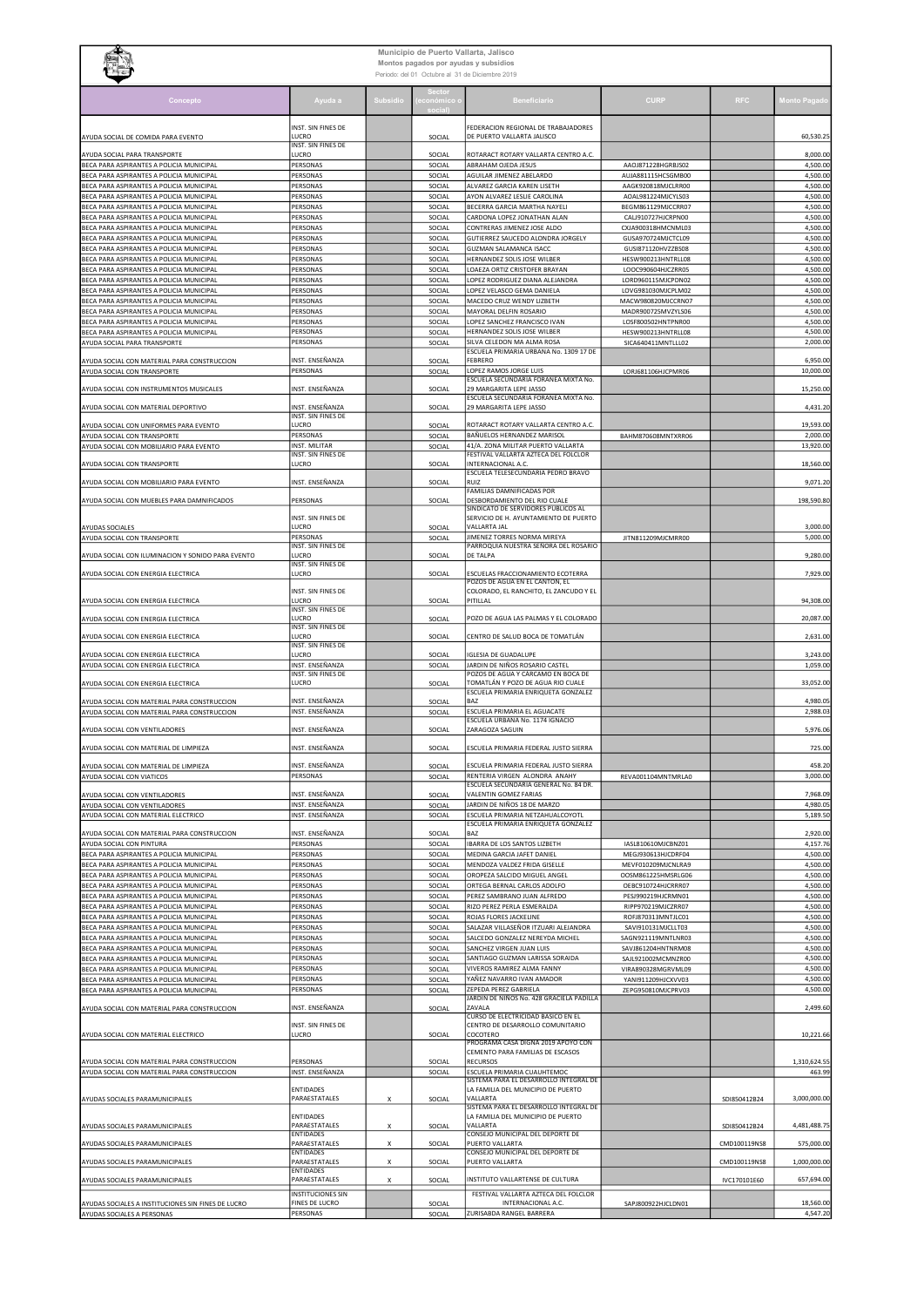| Municipio de Puerto Vallarta, Jalisco<br>Montos pagados por ayudas y subsidios<br>Periodo: del 01 Octubre al 31 de Diciembre 2019 |                                    |          |                  |                                                                              |                                          |              |                        |  |
|-----------------------------------------------------------------------------------------------------------------------------------|------------------------------------|----------|------------------|------------------------------------------------------------------------------|------------------------------------------|--------------|------------------------|--|
| Concepto                                                                                                                          | Ayuda a                            | Subsidio |                  | Beneficiario                                                                 | <b>CURP</b>                              | <b>RFC</b>   | Monto Pagad            |  |
| AYUDA SOCIAL DE COMIDA PARA EVENTO                                                                                                | INST. SIN FINES DE<br>LUCRO        |          | SOCIAL           | FEDERACION REGIONAL DE TRABAJADORES<br>DE PUERTO VALLARTA JALISCO            |                                          |              | 60,530.25              |  |
| AYUDA SOCIAL PARA TRANSPORTE                                                                                                      | INST. SIN FINES DE<br>LUCRO        |          | SOCIAL           | ROTARACT ROTARY VALLARTA CENTRO A.C.                                         |                                          |              | 8,000.00               |  |
| BECA PARA ASPIRANTES A POLICIA MUNICIPAL                                                                                          | PERSONAS                           |          | SOCIAL           | ABRAHAM OJEDA JESUS                                                          | AAOJ871228HGRBJS02                       |              | 4,500.00               |  |
| BECA PARA ASPIRANTES A POLICIA MUNICIPAL                                                                                          | PERSONAS                           |          | SOCIAL           | AGUILAR JIMENEZ ABELARDO                                                     | AUJA881115HCSGMB00                       |              | 4,500.00               |  |
| BECA PARA ASPIRANTES A POLICIA MUNICIPAL<br>BECA PARA ASPIRANTES A POLICIA MUNICIPAL                                              | PERSONAS<br>PERSONAS               |          | SOCIAL<br>SOCIAL | ALVAREZ GARCIA KAREN LISETH<br>AYON ALVAREZ LESLIE CAROLINA                  | AAGK920818MJCLRR00<br>AOAL981224MJCYLS03 |              | 4,500.00<br>4,500.00   |  |
| BECA PARA ASPIRANTES A POLICIA MUNICIPAL                                                                                          | PERSONAS                           |          | SOCIAL           | BECERRA GARCIA MARTHA NAYELI                                                 | BEGM861129MJCCRR07                       |              | 4,500.00               |  |
| BECA PARA ASPIRANTES A POLICIA MUNICIPAL                                                                                          | PERSONAS                           |          | SOCIAL           | CARDONA LOPEZ JONATHAN ALAN                                                  | CALJ910727HJCRPN00                       |              | 4,500.00               |  |
| BECA PARA ASPIRANTES A POLICIA MUNICIPAL<br>BECA PARA ASPIRANTES A POLICIA MUNICIPAL                                              | PERSONAS<br>PERSONAS               |          | SOCIAL<br>SOCIAL | CONTRERAS JIMENEZ JOSE ALDO<br>GUTIERREZ SAUCEDO ALONDRA JORGELY             | CXJA900318HMCNML03<br>GUSA970724MJCTCL09 |              | 4,500.00<br>4,500.00   |  |
| BECA PARA ASPIRANTES A POLICIA MUNICIPAL                                                                                          | PERSONAS                           |          | SOCIAL           | <b>GUZMAN SALAMANCA ISACC</b>                                                | GUSI871120HVZZBS08                       |              | 4,500.00               |  |
| BECA PARA ASPIRANTES A POLICIA MUNICIPAL                                                                                          | PERSONAS                           |          | SOCIAL           | HERNANDEZ SOLIS JOSE WILBER                                                  | HESW900213HNTRLL08                       |              | 4,500.00               |  |
| BECA PARA ASPIRANTES A POLICIA MUNICIPAL<br>BECA PARA ASPIRANTES A POLICIA MUNICIPAL                                              | PERSONAS<br>PERSONAS               |          | SOCIAL<br>SOCIAL | LOAEZA ORTIZ CRISTOFER BRAYAN<br>LOPEZ RODRIGUEZ DIANA ALEJANDRA             | LOOC990604HJCZRR05<br>LORD960115MJCPDN02 |              | 4,500.00<br>4,500.00   |  |
| BECA PARA ASPIRANTES A POLICIA MUNICIPAL                                                                                          | PERSONAS                           |          | SOCIAL           | LOPEZ VELASCO GEMA DANIELA                                                   | LOVG981030MJCPLM02                       |              | 4,500.00               |  |
| BECA PARA ASPIRANTES A POLICIA MUNICIPAL                                                                                          | PERSONAS                           |          | SOCIAL           | MACEDO CRUZ WENDY LIZBETH                                                    | MACW980820MJCCRN07                       |              | 4,500.00               |  |
| BECA PARA ASPIRANTES A POLICIA MUNICIPAL<br>BECA PARA ASPIRANTES A POLICIA MUNICIPAL                                              | PERSONAS<br>PERSONAS               |          | SOCIAL<br>SOCIAL | MAYORAL DELFIN ROSARIO<br>LOPEZ SANCHEZ FRANCISCO IVAN                       | MADR900725MVZYLS06<br>LOSF800502HNTPNR00 |              | 4,500.00<br>4,500.00   |  |
| BECA PARA ASPIRANTES A POLICIA MUNICIPAL                                                                                          | PERSONAS                           |          | SOCIAL           | HERNANDEZ SOLIS JOSE WILBER                                                  | HESW900213HNTRLL08                       |              | 4,500.00               |  |
| AYUDA SOCIAL PARA TRANSPORTE                                                                                                      | PERSONAS                           |          | SOCIAL           | SILVA CELEDON MA ALMA ROSA<br>ESCUELA PRIMARIA URBANA No. 1309 17 DE         | SICA640411MNTLLL02                       |              | 2,000.00               |  |
| AYUDA SOCIAL CON MATERIAL PARA CONSTRUCCION                                                                                       | INST. ENSEÑANZA                    |          | SOCIAL           | FEBRERO                                                                      |                                          |              | 6,950.00               |  |
| AYUDA SOCIAL CON TRANSPORTE                                                                                                       | PERSONAS                           |          | SOCIAL           | LOPEZ RAMOS JORGE LUIS                                                       | LORJ681106HJCPMR06                       |              | 10,000.00              |  |
| AYUDA SOCIAL CON INSTRUMENTOS MUSICALES                                                                                           | INST. ENSEÑANZA                    |          | SOCIAL           | ESCUELA SECUNDARIA FORANEA MIXTA No.<br>29 MARGARITA LEPE JASSO              |                                          |              | 15,250.00              |  |
|                                                                                                                                   | INST. ENSEÑANZA                    |          |                  | ESCUELA SECUNDARIA FORANEA MIXTA No.<br>29 MARGARITA LEPE JASSO              |                                          |              |                        |  |
| AYUDA SOCIAL CON MATERIAL DEPORTIVO                                                                                               | INST. SIN FINES DE                 |          | SOCIAL           |                                                                              |                                          |              | 4,431.20               |  |
| AYUDA SOCIAL CON UNIFORMES PARA EVENTO                                                                                            | LUCRO                              |          | SOCIAL           | ROTARACT ROTARY VALLARTA CENTRO A.C.                                         |                                          |              | 19,593.00              |  |
| <b>AYUDA SOCIAL CON TRANSPORTE</b><br>AYUDA SOCIAL CON MOBILIARIO PARA EVENTO                                                     | PERSONAS<br>INST. MILITAR          |          | SOCIAL<br>SOCIAL | BAÑUELOS HERNANDEZ MARISOL<br>41/A. ZONA MILITAR PUERTO VALLARTA             | BAHM870608MNTXRR06                       |              | 2,000.00<br>13,920.00  |  |
|                                                                                                                                   | INST. SIN FINES DE                 |          |                  | FESTIVAL VALLARTA AZTECA DEL FOLCLOR                                         |                                          |              |                        |  |
| AYUDA SOCIAL CON TRANSPORTE                                                                                                       | LUCRO                              |          | SOCIAL           | INTERNACIONAL A.C.<br>ESCUELA TELESECUNDARIA PEDRO BRAVO                     |                                          |              | 18,560.00              |  |
| AYUDA SOCIAL CON MOBILIARIO PARA EVENTO                                                                                           | INST. ENSEÑANZA                    |          | SOCIAL           | <b>RUIZ</b>                                                                  |                                          |              | 9,071.20               |  |
| AYUDA SOCIAL CON MUEBLES PARA DAMNIFICADOS                                                                                        | PERSONAS                           |          | SOCIAL           | FAMILIAS DAMNIFICADAS POR<br>DESBORDAMIENTO DEL RIO CUALE                    |                                          |              | 198,590.80             |  |
|                                                                                                                                   | INST. SIN FINES DE                 |          |                  | SINDICATO DE SERVIDORES PUBLICOS AL<br>SERVICIO DE H. AYUNTAMIENTO DE PUERTO |                                          |              |                        |  |
| AYUDAS SOCIALES                                                                                                                   | LUCRO                              |          | SOCIAL           | VALLARTA JAL                                                                 |                                          |              | 3,000.00               |  |
| AYUDA SOCIAL CON TRANSPORTE                                                                                                       | PERSONAS<br>INST. SIN FINES DE     |          | SOCIAL           | JIMENEZ TORRES NORMA MIREYA<br>PARROQUIA NUESTRA SEÑORA DEL ROSARIO          | JITN811209MJCMRR00                       |              | 5,000.00               |  |
| AYUDA SOCIAL CON ILUMINACION Y SONIDO PARA EVENTO                                                                                 | LUCRO                              |          | SOCIAL           | DE TALPA                                                                     |                                          |              | 9,280.00               |  |
| AYUDA SOCIAL CON ENERGIA ELECTRICA                                                                                                | INST. SIN FINES DE<br>LUCRO        |          | SOCIAL           | ESCUELAS FRACCIONAMIENTO ECOTERRA                                            |                                          |              | 7,929.00               |  |
|                                                                                                                                   |                                    |          |                  | POZOS DE AGUA EN EL CANTÓN, EL                                               |                                          |              |                        |  |
| AYUDA SOCIAL CON ENERGIA ELECTRICA                                                                                                | INST. SIN FINES DE<br>LUCRO        |          | SOCIAL           | COLORADO, EL RANCHITO, EL ZANCUDO Y EL<br>PITILLAL                           |                                          |              | 94,308.00              |  |
|                                                                                                                                   | INST. SIN FINES DE                 |          |                  |                                                                              |                                          |              |                        |  |
| AYUDA SOCIAL CON ENERGIA ELECTRICA                                                                                                | LUCRO<br>INST. SIN FINES DE        |          | SOCIAL           | POZO DE AGUA LAS PALMAS Y EL COLORADO                                        |                                          |              | 20,087.00              |  |
| AYUDA SOCIAL CON ENERGIA ELECTRICA                                                                                                | LUCRO                              |          | SOCIAL           | CENTRO DE SALUD BOCA DE TOMATLÁN                                             |                                          |              | 2,631.00               |  |
| AYUDA SOCIAL CON ENERGIA ELECTRICA                                                                                                | INST. SIN FINES DE<br>LUCRO        |          | SOCIAL           | <b>IGLESIA DE GUADALUPE</b>                                                  |                                          |              | 3,243.00               |  |
| AYUDA SOCIAL CON ENERGIA ELECTRICA                                                                                                | INST. ENSEÑANZA                    |          | SOCIAL           | JARDIN DE NIÑOS ROSARIO CASTEL                                               |                                          |              | 1,059.00               |  |
| AYUDA SOCIAL CON ENERGIA ELECTRICA                                                                                                | INST. SIN FINES DE<br>LUCRO        |          | SOCIAL           | POZOS DE AGUA Y CÁRCAMO EN BOCA DE<br>TOMATLÁN Y POZO DE AGUA RIO CUALE      |                                          |              | 33,052.00              |  |
|                                                                                                                                   |                                    |          |                  | ESCUELA PRIMARIA ENRIQUETA GONZALEZ                                          |                                          |              |                        |  |
| AYUDA SOCIAL CON MATERIAL PARA CONSTRUCCION<br>AYUDA SOCIAL CON MATERIAL PARA CONSTRUCCION                                        | INST. ENSEÑANZA<br>INST. ENSEÑANZA |          | SOCIAL<br>SOCIAL | BAZ<br>ESCUELA PRIMARIA EL AGUACATE                                          |                                          |              | 4,980.05<br>2,988.03   |  |
|                                                                                                                                   |                                    |          |                  | ESCUELA URBANA No. 1174 IGNACIO                                              |                                          |              |                        |  |
| AYUDA SOCIAL CON VENTILADORES                                                                                                     | INST. ENSEÑANZA                    |          | SOCIAL           | ZARAGOZA SAGUIN                                                              |                                          |              | 5,976.06               |  |
| AYUDA SOCIAL CON MATERIAL DE LIMPIEZA                                                                                             | INST. ENSEÑANZA                    |          | SOCIAL           | ESCUELA PRIMARIA FEDERAL JUSTO SIERRA                                        |                                          |              | 725.00                 |  |
| AYUDA SOCIAL CON MATERIAL DE LIMPIEZA                                                                                             | INST. ENSEÑANZA                    |          | SOCIAL           | ESCUELA PRIMARIA FEDERAL JUSTO SIERRA                                        |                                          |              | 458.20                 |  |
| AYUDA SOCIAL CON VIATICOS                                                                                                         | PERSONAS                           |          | SOCIAL           | RENTERIA VIRGEN ALONDRA ANAHY                                                | REVA001104MNTMRLA0                       |              | 3,000.00               |  |
| AYUDA SOCIAL CON VENTILADORES                                                                                                     | INST. ENSEÑANZA                    |          | SOCIAL           | ESCUELA SECUNDARIA GENERAL No. 84 DR.<br>VALENTIN GOMEZ FARIAS               |                                          |              | 7,968.09               |  |
| AYUDA SOCIAL CON VENTILADORES                                                                                                     | INST. ENSEÑANZA                    |          | SOCIAL           | JARDIN DE NIÑOS 18 DE MARZO                                                  |                                          |              | 4,980.05               |  |
| AYUDA SOCIAL CON MATERIAL ELECTRICO                                                                                               | INST. ENSEÑANZA                    |          | SOCIAL           | ESCUELA PRIMARIA NETZAHUALCOYOTL<br>ESCUELA PRIMARIA ENRIQUETA GONZALEZ      |                                          |              | 5,189.50               |  |
| AYUDA SOCIAL CON MATERIAL PARA CONSTRUCCION                                                                                       | INST. ENSEÑANZA                    |          | SOCIAL           | BAZ                                                                          |                                          |              | 2,920.00               |  |
| AYUDA SOCIAL CON PINTURA                                                                                                          | PERSONAS                           |          | SOCIAL           | <b>IBARRA DE LOS SANTOS LIZBETH</b>                                          | IASL810610MJCBNZ01                       |              | 4,157.76               |  |
| BECA PARA ASPIRANTES A POLICIA MUNICIPAL<br>BECA PARA ASPIRANTES A POLICIA MUNICIPAL                                              | PERSONAS<br>PERSONAS               |          | SOCIAL<br>SOCIAL | MEDINA GARCIA JAFET DANIEL<br>MENDOZA VALDEZ FRIDA GISELLE                   | MEGJ930613HJCDRF04<br>MEVF010209MJCNLRA9 |              | 4,500.00<br>4,500.00   |  |
| BECA PARA ASPIRANTES A POLICIA MUNICIPAL                                                                                          | PERSONAS                           |          | SOCIAL           | OROPEZA SALCIDO MIGUEL ANGEL                                                 | OOSM861225HMSRLG06                       |              | 4,500.00               |  |
| BECA PARA ASPIRANTES A POLICIA MUNICIPAL                                                                                          | PERSONAS                           |          | SOCIAL           | ORTEGA BERNAL CARLOS ADOLFO                                                  | OEBC910724HJCRRR07                       |              | 4,500.00               |  |
| BECA PARA ASPIRANTES A POLICIA MUNICIPAL<br>BECA PARA ASPIRANTES A POLICIA MUNICIPAL                                              | PERSONAS<br>PERSONAS               |          | SOCIAL<br>SOCIAL | PEREZ SAMBRANO JUAN ALFREDO<br>RIZO PEREZ PERLA ESMERALDA                    | PESJ990219HJCRMN01<br>RIPP970219MJCZRR07 |              | 4,500.00<br>4,500.00   |  |
| BECA PARA ASPIRANTES A POLICIA MUNICIPAL                                                                                          | PERSONAS                           |          | SOCIAL           | ROJAS FLORES JACKELINE                                                       | ROFJ870313MNTJLC01                       |              | 4,500.00               |  |
| BECA PARA ASPIRANTES A POLICIA MUNICIPAL                                                                                          | PERSONAS                           |          | SOCIAL           | SALAZAR VILLASEÑOR ITZUARI ALEJANDRA                                         | SAVI910131MJCLLT03                       |              | 4,500.00               |  |
| BECA PARA ASPIRANTES A POLICIA MUNICIPAL<br>BECA PARA ASPIRANTES A POLICIA MUNICIPAL                                              | PERSONAS<br>PERSONAS               |          | SOCIAL<br>SOCIAL | SALCEDO GONZALEZ NEREYDA MICHEL<br>SANCHEZ VIRGEN JUAN LUIS                  | SAGN921119MNTLNR03<br>SAVJ861204HNTNRM08 |              | 4,500.00<br>4,500.00   |  |
| BECA PARA ASPIRANTES A POLICIA MUNICIPAL                                                                                          | PERSONAS                           |          | SOCIAL           | SANTIAGO GUZMAN LARISSA SORAIDA                                              | SAJL921002MCMNZR00                       |              | 4,500.00               |  |
| BECA PARA ASPIRANTES A POLICIA MUNICIPAL                                                                                          | PERSONAS                           |          | SOCIAL           | VIVEROS RAMIREZ ALMA FANNY                                                   | VIRA890328MGRVML09                       |              | 4,500.00               |  |
| BECA PARA ASPIRANTES A POLICIA MUNICIPAL<br>BECA PARA ASPIRANTES A POLICIA MUNICIPAL                                              | PERSONAS<br>PERSONAS               |          | SOCIAL<br>SOCIAL | YAÑEZ NAVARRO IVAN AMADOR<br>ZEPEDA PEREZ GABRIELA                           | YANI911209HJCXVV03<br>ZEPG950810MJCPRV03 |              | 4,500.00<br>4,500.00   |  |
|                                                                                                                                   |                                    |          |                  | JARDIN DE NIÑOS No. 428 GRACIELA PADILLA                                     |                                          |              |                        |  |
| AYUDA SOCIAL CON MATERIAL PARA CONSTRUCCION                                                                                       | INST. ENSEÑANZA                    |          | SOCIAL           | <b>7AVAI A</b><br>CURSO DE ELECTRICIDAD BASICO EN EL                         |                                          |              | 2,499.60               |  |
|                                                                                                                                   | INST. SIN FINES DE                 |          |                  | CENTRO DE DESARROLLO COMUNITARIO                                             |                                          |              |                        |  |
| AYUDA SOCIAL CON MATERIAL ELECTRICO                                                                                               | LUCRO                              |          | SOCIAL           | COCOTERO<br>PROGRAMA CASA DIGNA 2019 APOYO CON                               |                                          |              | 10,221.66              |  |
|                                                                                                                                   |                                    |          |                  | CEMENTO PARA FAMILIAS DE ESCASOS                                             |                                          |              |                        |  |
| AYUDA SOCIAL CON MATERIAL PARA CONSTRUCCION<br>AYUDA SOCIAL CON MATERIAL PARA CONSTRUCCION                                        | PERSONAS<br>INST. ENSEÑANZA        |          | SOCIAL<br>SOCIAL | <b>RECURSOS</b><br>ESCUELA PRIMARIA CUAUHTEMOC                               |                                          |              | 1,310,624.55<br>463.99 |  |
|                                                                                                                                   |                                    |          |                  | SISTEMA PARA EL DESARROLLO INTEGRAL DE                                       |                                          |              |                        |  |
| AYUDAS SOCIALES PARAMUNICIPALES                                                                                                   | ENTIDADES<br>PARAESTATALES         | X        | SOCIAL           | LA FAMILIA DEL MUNICIPIO DE PUERTO<br>VALLARTA                               |                                          | SDI850412B24 | 3,000,000.00           |  |
|                                                                                                                                   |                                    |          |                  | SISTEMA PARA EL DESARROLLO INTEGRAL DE                                       |                                          |              |                        |  |
| AYUDAS SOCIALES PARAMUNICIPALES                                                                                                   | ENTIDADES<br>PARAESTATALES         | X        | SOCIAL           | LA FAMILIA DEL MUNICIPIO DE PUERTO<br>VALLARTA                               |                                          | SDI850412B24 | 4,481,488.75           |  |
|                                                                                                                                   | <b>ENTIDADES</b>                   |          |                  | CONSEJO MUNICIPAL DEL DEPORTE DE                                             |                                          |              |                        |  |
| AYUDAS SOCIALES PARAMUNICIPALES                                                                                                   | PARAESTATALES<br>ENTIDADES         | X        | SOCIAL           | PUERTO VALLARTA<br>CONSEJO MUNICIPAL DEL DEPORTE DE                          |                                          | CMD100119NS8 | 575,000.00             |  |
| AYUDAS SOCIALES PARAMUNICIPALES                                                                                                   | PARAESTATALES                      | X        | SOCIAL           | PUERTO VALLARTA                                                              |                                          | CMD100119NS8 | 1,000,000.00           |  |
| AYUDAS SOCIALES PARAMUNICIPALES                                                                                                   | ENTIDADES<br>PARAESTATALES         | X        | SOCIAL           | INSTITUTO VALLARTENSE DE CULTURA                                             |                                          | IVC170101E60 | 657,694.00             |  |
|                                                                                                                                   | <b>INSTITUCIONES SIN</b>           |          |                  | FESTIVAL VALLARTA AZTECA DEL FOLCLOR                                         |                                          |              |                        |  |
| AYUDAS SOCIALES A INSTITUCIONES SIN FINES DE LUCRO                                                                                | FINES DE LUCRO                     |          | SOCIAL           | INTERNACIONAL A.C.                                                           | SAPJ800922HJCLDN01                       |              | 18,560.00              |  |
| AYUDAS SOCIALES A PERSONAS                                                                                                        | PERSONAS                           |          | SOCIAL           | ZURISABDA RANGEL BARRERA                                                     |                                          |              | 4,547.20               |  |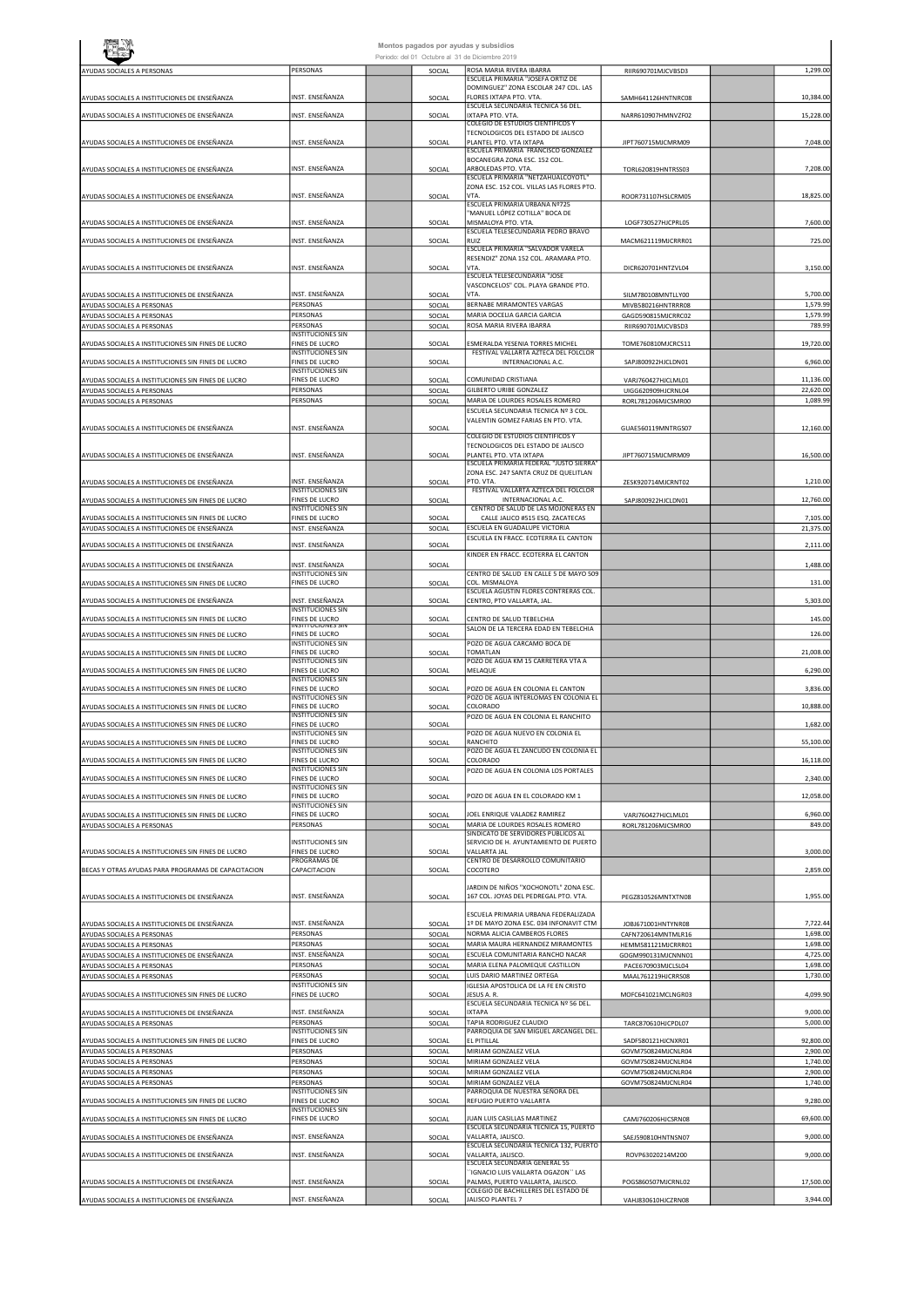|                                                          |                                                   |                  | Montos pagados por ayudas y subsidios<br>Periodo: del 01 Octubre al 31 de Diciembre 2019 |                                          |                      |
|----------------------------------------------------------|---------------------------------------------------|------------------|------------------------------------------------------------------------------------------|------------------------------------------|----------------------|
| AYUDAS SOCIALES A PERSONAS                               | PERSONAS                                          | SOCIAL           | ROSA MARIA RIVERA IBARRA                                                                 | RIIR690701MJCVBSD3                       | 1,299.00             |
|                                                          |                                                   |                  | ESCUELA PRIMARIA "JOSEFA ORTIZ DE<br>DOMINGUEZ" ZONA ESCOLAR 247 COL. LAS                |                                          |                      |
| AYUDAS SOCIALES A INSTITUCIONES DE ENSEÑANZA             | INST. ENSEÑANZA                                   | SOCIAL           | FLORES IXTAPA PTO. VTA.                                                                  | SAMH641126HNTNRC08                       | 10,384.00            |
| AYUDAS SOCIALES A INSTITUCIONES DE ENSEÑANZA             | INST. ENSEÑANZA                                   | SOCIAL           | ESCUELA SECUNDARIA TECNICA 56 DEL.<br>IXTAPA PTO. VTA.                                   | NARR610907HMNVZF02                       | 15,228.00            |
|                                                          |                                                   |                  | COLEGIO DE ESTUDIOS CIENTIFICOS Y<br>TECNOLOGICOS DEL ESTADO DE JALISCO                  |                                          |                      |
| AYUDAS SOCIALES A INSTITUCIONES DE ENSEÑANZA             | INST. ENSEÑANZA                                   | SOCIAL           | PLANTEL PTO. VTA IXTAPA                                                                  | JIPT760715MJCMRM09                       | 7,048.00             |
|                                                          |                                                   |                  | ESCUELA PRIMARIA FRANCISCO GONZALEZ<br>BOCANEGRA ZONA ESC. 152 COL.                      |                                          |                      |
| AYUDAS SOCIALES A INSTITUCIONES DE ENSEÑANZA             | INST. ENSEÑANZA                                   | SOCIAL           | ARBOLEDAS PTO. VTA.<br>ESCUELA PRIMARIA "NETZAHUALCOYOTL'                                | TORL620819HNTRSS03                       | 7,208.00             |
|                                                          |                                                   |                  | ZONA ESC. 152 COL. VILLAS LAS FLORES PTO.                                                |                                          |                      |
| AYUDAS SOCIALES A INSTITUCIONES DE ENSEÑANZA             | INST. ENSEÑANZA                                   | SOCIAL           | VTA.<br>ESCUELA PRIMARIA URBANA Nº725                                                    | ROOR731107HSLCRM05                       | 18,825.00            |
|                                                          | INST. ENSEÑANZA                                   |                  | "MANUEL LÓPEZ COTILLA" BOCA DE<br>MISMALOYA PTO. VTA.                                    |                                          | 7,600.00             |
| AYUDAS SOCIALES A INSTITUCIONES DE ENSEÑANZA             |                                                   | SOCIAL           | ESCUELA TELESECUNDARIA PEDRO BRAVO                                                       | LOGF730527HJCPRL05                       |                      |
| AYUDAS SOCIALES A INSTITUCIONES DE ENSEÑANZA             | INST. ENSEÑANZA                                   | SOCIAL           | RUIZ<br>ESCUELA PRIMARIA "SALVADOR VARELA                                                | MACM621119MJCRRR01                       | 725.00               |
|                                                          | INST. ENSEÑANZA                                   |                  | RESENDIZ" ZONA 152 COL. ARAMARA PTO.<br>VTA.                                             |                                          | 3,150.00             |
| AYUDAS SOCIALES A INSTITUCIONES DE ENSEÑANZA             |                                                   | SOCIAL           | ESCUELA TELESECUNDARIA "JOSE                                                             | DICR620701HNTZVL04                       |                      |
| AYUDAS SOCIALES A INSTITUCIONES DE ENSEÑANZA             | INST. ENSEÑANZA                                   | SOCIAL           | VASCONCELOS" COL. PLAYA GRANDE PTO.<br>VTA.                                              | SILM780108MNTLLY00                       | 5,700.00             |
| AYUDAS SOCIALES A PERSONAS                               | PERSONAS                                          | SOCIAL           | BERNABE MIRAMONTES VARGAS                                                                | MIVB580216HNTRRR08                       | 1,579.99             |
| AYUDAS SOCIALES A PERSONAS                               | PERSONAS<br>PERSONAS                              | SOCIAL           | MARIA DOCELIA GARCIA GARCIA<br>ROSA MARIA RIVERA IBARRA                                  | GAGD590815MJCRRC02                       | 1,579.99<br>789.99   |
| AYUDAS SOCIALES A PERSONAS                               | <b>INSTITUCIONES SIN</b>                          | SOCIAL           |                                                                                          | RIIR690701MJCVBSD3                       |                      |
| AYUDAS SOCIALES A INSTITUCIONES SIN FINES DE LUCRO       | FINES DE LUCRO<br><b>INSTITUCIONES SIN</b>        | SOCIAL           | ESMERALDA YESENIA TORRES MICHEL<br>FESTIVAL VALLARTA AZTECA DEL FOLCLOR                  | TOME760810MJCRCS11                       | 19,720.00            |
| AYUDAS SOCIALES A INSTITUCIONES SIN FINES DE LUCRO       | FINES DE LUCRO                                    | SOCIAL           | INTERNACIONAL A.C.                                                                       | SAPJ800922HJCLDN01                       | 6,960.00             |
| AYUDAS SOCIALES A INSTITUCIONES SIN FINES DE LUCRO       | <b>INSTITUCIONES SIN</b><br>FINES DE LUCRO        | SOCIAL           | COMUNIDAD CRISTIANA                                                                      | VARJ760427HJCLML01                       | 11,136.00            |
| AYUDAS SOCIALES A PERSONAS                               | PERSONAS                                          | SOCIAL           | GILBERTO URIBE GONZALEZ                                                                  | UIGG620909HJCRNL04                       | 22,620.00            |
| AYUDAS SOCIALES A PERSONAS                               | PERSONAS                                          | SOCIAL           | MARIA DE LOURDES ROSALES ROMERO<br>ESCUELA SECUNDARIA TECNICA Nº 3 COL.                  | RORL781206MJCSMR00                       | 1,089.99             |
|                                                          |                                                   |                  | VALENTIN GOMEZ FARIAS EN PTO. VTA.                                                       |                                          |                      |
| AYUDAS SOCIALES A INSTITUCIONES DE ENSEÑANZA             | INST. ENSEÑANZA                                   | SOCIAL           | COLEGIO DE ESTUDIOS CIENTIFICOS Y                                                        | GUAE560119MNTRGS07                       | 12,160.00            |
| AYUDAS SOCIALES A INSTITUCIONES DE ENSEÑANZA             | INST. ENSEÑANZA                                   | SOCIAL           | TECNOLOGICOS DEL ESTADO DE JALISCO<br>PLANTEL PTO. VTA IXTAPA                            |                                          | 16,500.00            |
|                                                          |                                                   |                  | ESCUELA PRIMARIA FEDERAL "JUSTO SIERRA"                                                  | JIPT760715MJCMRM09                       |                      |
| AYUDAS SOCIALES A INSTITUCIONES DE ENSEÑANZA             | INST. ENSEÑANZA                                   | SOCIAL           | ZONA ESC. 247 SANTA CRUZ DE QUELITLAN<br>PTO, VTA.                                       | ZESK920714MJCRNT02                       | 1,210.00             |
|                                                          | <b>INSTITUCIONES SIN</b>                          |                  | FESTIVAL VALLARTA AZTECA DEL FOLCLOR                                                     |                                          |                      |
| AYUDAS SOCIALES A INSTITUCIONES SIN FINES DE LUCRO       | <b>FINES DE LUCRO</b><br><b>INSTITUCIONES SIN</b> | SOCIAL           | INTERNACIONAL A.C.<br>CENTRO DE SALUD DE LAS MOJONERAS EN                                | SAPJ800922HJCLDN01                       | 12,760.00            |
| AYUDAS SOCIALES A INSTITUCIONES SIN FINES DE LUCRO       | <b>FINES DE LUCRO</b>                             | SOCIAL           | CALLE JALICO #515 ESQ. ZACATECAS                                                         |                                          | 7,105.00             |
| AYUDAS SOCIALES A INSTITUCIONES DE ENSEÑANZA             | INST. ENSEÑANZA                                   | SOCIAL           | ESCUELA EN GUADALUPE VICTORIA<br>ESCUELA EN FRACC. ECOTERRA EL CANTON                    |                                          | 21,375.00            |
| AYUDAS SOCIALES A INSTITUCIONES DE ENSEÑANZA             | INST. ENSEÑANZA                                   | SOCIAL           | KINDER EN FRACC. ECOTERRA EL CANTON                                                      |                                          | 2,111.00             |
| AYUDAS SOCIALES A INSTITUCIONES DE ENSEÑANZA             | INST. ENSEÑANZA                                   | SOCIAL           |                                                                                          |                                          | 1,488.00             |
| AYUDAS SOCIALES A INSTITUCIONES SIN FINES DE LUCRO       | <b>INSTITUCIONES SIN</b><br><b>FINES DE LUCRO</b> | SOCIAL           | CENTRO DE SALUD EN CALLE 5 DE MAYO 509<br>COL. MISMALOYA                                 |                                          | 131.00               |
|                                                          |                                                   |                  | ESCUELA AGUSTIN FLORES CONTRERAS COL.                                                    |                                          |                      |
| AYUDAS SOCIALES A INSTITUCIONES DE ENSEÑANZA             | INST. ENSEÑANZA<br><b>INSTITUCIONES SIN</b>       | SOCIAL           | CENTRO, PTO VALLARTA, JAL.                                                               |                                          | 5,303.00             |
| AYUDAS SOCIALES A INSTITUCIONES SIN FINES DE LUCRO       | FINES DE LUCRO<br><u>INSTITUCIONES SIN</u>        | SOCIAL           | CENTRO DE SALUD TEBELCHIA                                                                |                                          | 145.00               |
| AYUDAS SOCIALES A INSTITUCIONES SIN FINES DE LUCRO       | FINES DE LUCRO                                    | SOCIAL           | SALON DE LA TERCERA EDAD EN TEBELCHIA                                                    |                                          | 126.00               |
| AYUDAS SOCIALES A INSTITUCIONES SIN FINES DE LUCRO       | <b>INSTITUCIONES SIN</b><br>FINES DE LUCRO        | SOCIAL           | POZO DE AGUA CARCAMO BOCA DE<br>TOMATLAN                                                 |                                          | 21,008.00            |
| AYUDAS SOCIALES A INSTITUCIONES SIN FINES DE LUCRO       | <b>INSTITUCIONES SIN</b><br>FINES DE LUCRO        | SOCIAL           | POZO DE AGUA KM 15 CARRETERA VTA A<br>MELAQUE                                            |                                          | 6,290.00             |
|                                                          | <b>INSTITUCIONES SIN</b>                          |                  |                                                                                          |                                          |                      |
| AYUDAS SOCIALES A INSTITUCIONES SIN FINES DE LUCRO       | FINES DE LUCRO<br><b>INSTITUCIONES SIN</b>        | SOCIAL           | POZO DE AGUA EN COLONIA EL CANTON<br>POZO DE AGUA INTERLOMAS EN COLONIA EL               |                                          | 3,836.00             |
| AYUDAS SOCIALES A INSTITUCIONES SIN FINES DE LUCRO       | FINES DE LUCRO                                    | SOCIAL           | COLORADO                                                                                 |                                          | 10,888.00            |
| AYUDAS SOCIALES A INSTITUCIONES SIN FINES DE LUCRO       | <b>INSTITUCIONES SIN</b><br>FINES DE LUCRO        | SOCIAL           | POZO DE AGUA EN COLONIA EL RANCHITO                                                      |                                          | 1,682.00             |
| AYUDAS SOCIALES A INSTITUCIONES SIN FINES DE LUCRO       | <b>INSTITUCIONES SIN</b><br>FINES DE LUCRO        | SOCIAL           | POZO DE AGUA NUEVO EN COLONIA EL<br>RANCHITO                                             |                                          | 55,100.00            |
|                                                          | <b>INSTITUCIONES SIN</b>                          |                  | POZO DE AGUA EL ZANCUDO EN COLONIA EL                                                    |                                          |                      |
| AYUDAS SOCIALES A INSTITUCIONES SIN FINES DE LUCRO       | FINES DE LUCRO<br><b>INSTITUCIONES SIN</b>        | SOCIAL           | COLORADO<br>POZO DE AGUA EN COLONIA LOS PORTALES                                         |                                          | 16,118.00            |
| AYUDAS SOCIALES A INSTITUCIONES SIN FINES DE LUCRO       | <b>FINES DE LUCRO</b>                             | SOCIAL           |                                                                                          |                                          | 2,340.00             |
| AYUDAS SOCIALES A INSTITUCIONES SIN FINES DE LUCRO       | <b>INSTITUCIONES SIN</b><br><b>FINES DE LUCRO</b> | SOCIAL           | POZO DE AGUA EN EL COLORADO KM 1                                                         |                                          | 12,058.00            |
| AYUDAS SOCIALES A INSTITUCIONES SIN FINES DE LUCRO       | <b>INSTITUCIONES SIN</b><br><b>FINES DE LUCRO</b> | SOCIAL           | JOEL ENRIQUE VALADEZ RAMIREZ                                                             | VARJ760427HJCLML01                       | 6,960.00             |
| AYUDAS SOCIALES A PERSONAS                               | PERSONAS                                          | SOCIAL           | MARIA DE LOURDES ROSALES ROMERO                                                          | RORL781206MJCSMR00                       | 849.00               |
|                                                          | <b>INSTITUCIONES SIN</b>                          |                  | SINDICATO DE SERVIDORES PUBLICOS AL<br>SERVICIO DE H. AYUNTAMIENTO DE PUERTO             |                                          |                      |
| AYUDAS SOCIALES A INSTITUCIONES SIN FINES DE LUCRO       | <b>FINES DE LUCRO</b>                             | SOCIAL           | VALLARTA JAL<br>CENTRO DE DESARROLLO COMUNITARIO                                         |                                          | 3,000.00             |
| BECAS Y OTRAS AYUDAS PARA PROGRAMAS DE CAPACITACION      | PROGRAMAS DE<br>CAPACITACION                      | SOCIAL           | COCOTERO                                                                                 |                                          | 2,859.00             |
|                                                          |                                                   |                  | JARDIN DE NIÑOS "XOCHONOTL" ZONA ESC.                                                    |                                          |                      |
| AYUDAS SOCIALES A INSTITUCIONES DE ENSEÑANZA             | INST. ENSEÑANZA                                   | SOCIAL           | 167 COL. JOYAS DEL PEDREGAL PTO. VTA.                                                    | PEGZ810526MNTXTN08                       | 1,955.00             |
|                                                          |                                                   |                  | ESCUELA PRIMARIA URBANA FEDERALIZADA                                                     |                                          |                      |
| AYUDAS SOCIALES A INSTITUCIONES DE ENSEÑANZA             | INST. ENSEÑANZA                                   | SOCIAL           | 1º DE MAYO ZONA ESC. 034 INFONAVIT CTM                                                   | JOBJ671001HNTYNR08                       | 7,722.44             |
| AYUDAS SOCIALES A PERSONAS<br>AYUDAS SOCIALES A PERSONAS | PERSONAS<br>PERSONAS                              | SOCIAL<br>SOCIAL | NORMA ALICIA CAMBEROS FLORES<br>MARIA MAURA HERNANDEZ MIRAMONTES                         | CAFN720614MNTMLR16<br>HEMM581121MJCRRR01 | 1,698.00<br>1,698.00 |
| AYUDAS SOCIALES A INSTITUCIONES DE ENSEÑANZA             | INST. ENSEÑANZA                                   | SOCIAL           | ESCUELA COMUNITARIA RANCHO NACAR                                                         | GOGM990131MJCNNN01                       | 4,725.00             |
| AYUDAS SOCIALES A PERSONAS<br>AYUDAS SOCIALES A PERSONAS | PERSONAS<br>PERSONAS                              | SOCIAL<br>SOCIAL | MARIA ELENA PALOMEQUE CASTILLON<br>LUIS DARIO MARTINEZ ORTEGA                            | PACE670903MJCLSL04<br>MAAL761219HJCRRS08 | 1,698.00<br>1,730.00 |
|                                                          | <b>INSTITUCIONES SIN</b>                          |                  | IGLESIA APOSTOLICA DE LA FE EN CRISTO                                                    |                                          |                      |
| AYUDAS SOCIALES A INSTITUCIONES SIN FINES DE LUCRO       | FINES DE LUCRO                                    | SOCIAL           | JESUS A. R.<br>ESCUELA SECUNDARIA TECNICA Nº 56 DEL.                                     | MOFC641021MCLNGR03                       | 4,099.90             |
| AYUDAS SOCIALES A INSTITUCIONES DE ENSEÑANZA             | INST. ENSEÑANZA                                   | SOCIAL           | <b>IXTAPA</b>                                                                            |                                          | 9,000.00             |
| AYUDAS SOCIALES A PERSONAS                               | PERSONAS<br><b>INSTITUCIONES SIN</b>              | SOCIAL           | TAPIA RODRIGUEZ CLAUDIO<br>PARROQUIA DE SAN MIGUEL ARCANGEL DEL.                         | TARC870610HJCPDL07                       | 5,000.00             |
| AYUDAS SOCIALES A INSTITUCIONES SIN FINES DE LUCRO       | FINES DE LUCRO                                    | SOCIAL           | EL PITILLAL                                                                              | SADF580121HJCNXR01                       | 92,800.00            |
| AYUDAS SOCIALES A PERSONAS<br>AYUDAS SOCIALES A PERSONAS | PERSONAS<br>PERSONAS                              | SOCIAL<br>SOCIAL | MIRIAM GONZALEZ VELA<br>MIRIAM GONZALEZ VELA                                             | GOVM750824MJCNLR04<br>GOVM750824MJCNLR04 | 2,900.00<br>1,740.00 |
| AYUDAS SOCIALES A PERSONAS                               | PERSONAS                                          | SOCIAL           | MIRIAM GONZALEZ VELA                                                                     | GOVM750824MJCNLR04                       | 2,900.00             |
| AYUDAS SOCIALES A PERSONAS                               | PERSONAS                                          | SOCIAL           | MIRIAM GONZALEZ VELA                                                                     | GOVM750824MJCNLR04                       | 1,740.00             |
| AYUDAS SOCIALES A INSTITUCIONES SIN FINES DE LUCRO       | <b>INSTITUCIONES SIN</b><br>FINES DE LUCRO        | SOCIAL           | PARROQUIA DE NUESTRA SEÑORA DEL<br>REFUGIO PUERTO VALLARTA                               |                                          | 9,280.00             |
| AYUDAS SOCIALES A INSTITUCIONES SIN FINES DE LUCRO       | <b>INSTITUCIONES SIN</b><br>FINES DE LUCRO        | SOCIAL           | JUAN LUIS CASILLAS MARTINEZ                                                              | CAMJ760206HJCSRN08                       | 69,600.00            |
|                                                          |                                                   |                  | ESCUELA SECUNDARIA TECNICA 15, PUERTO                                                    |                                          |                      |
| AYUDAS SOCIALES A INSTITUCIONES DE ENSEÑANZA             | INST. ENSEÑANZA                                   | SOCIAL           | VALLARTA, JALISCO.<br>ESCUELA SECUNDARIA TECNICA 132, PUERTO                             | SAEJ590810HNTNSN07                       | 9,000.00             |
| AYUDAS SOCIALES A INSTITUCIONES DE ENSEÑANZA             | INST. ENSEÑANZA                                   | SOCIAL           | VALLARTA, JALISCO.<br>ESCUELA SECUNDARIA GENERAL 55                                      | ROVP63020214M200                         | 9,000.00             |
|                                                          |                                                   |                  | 'IGNACIO LUIS VALLARTA OGAZON'' LAS                                                      |                                          |                      |
| AYUDAS SOCIALES A INSTITUCIONES DE ENSEÑANZA             | INST. ENSEÑANZA                                   | SOCIAL           | PALMAS, PUERTO VALLARTA, JALISCO.<br>COLEGIO DE BACHILLERES DEL ESTADO DE                | POGS860507MJCRNL02                       | 17,500.00            |
| AYUDAS SOCIALES A INSTITUCIONES DE ENSEÑANZA             | INST. ENSEÑANZA                                   | SOCIAL           | JALISCO PLANTEL 7                                                                        | VAHJ830610HJCZRN08                       | 3,944.00             |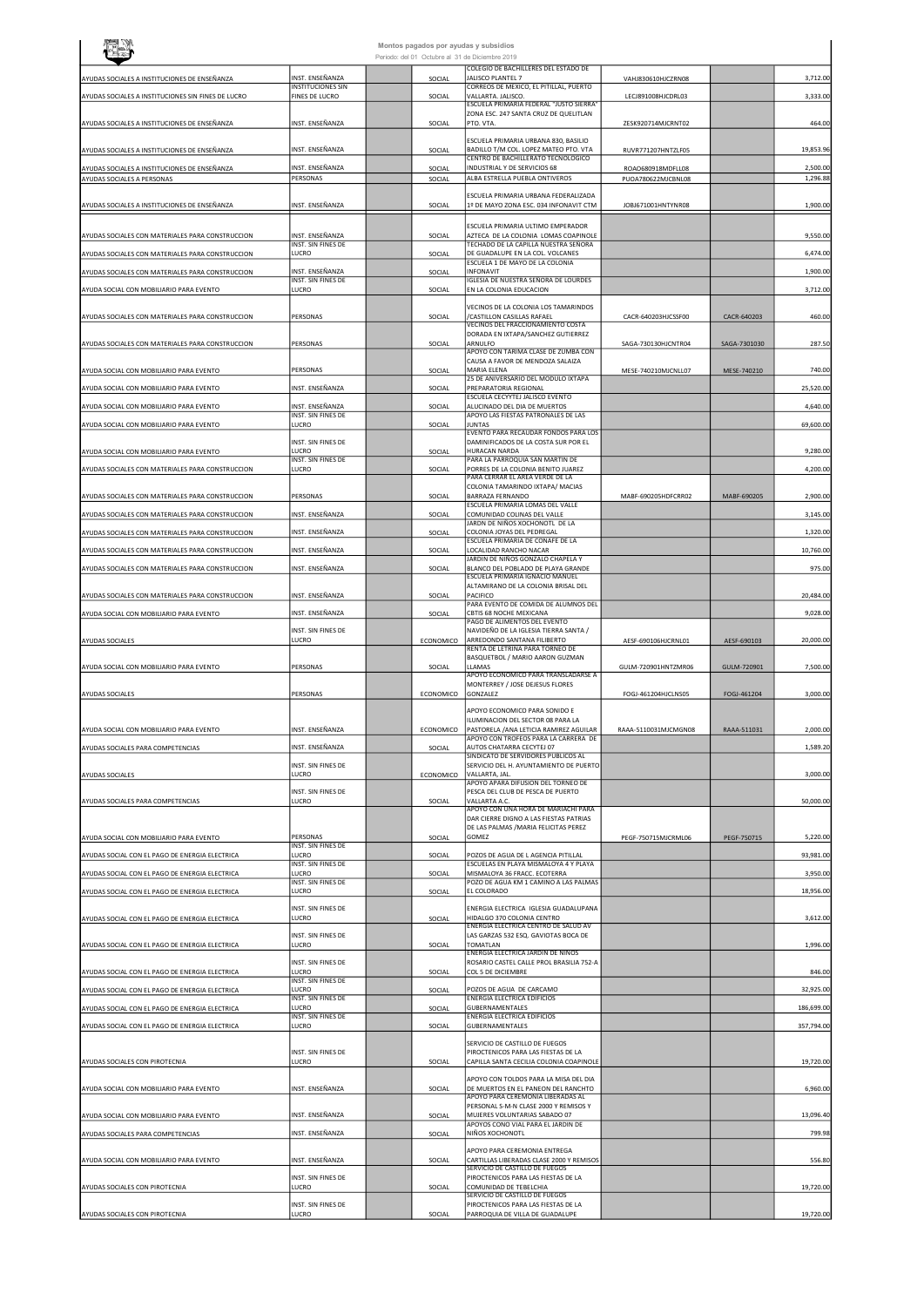|                                                    |                                             | Montos pagados por ayudas y subsidios           |                  |                                                                                                            |                      |              |                       |
|----------------------------------------------------|---------------------------------------------|-------------------------------------------------|------------------|------------------------------------------------------------------------------------------------------------|----------------------|--------------|-----------------------|
|                                                    |                                             | Periodo: del 01 Octubre al 31 de Diciembre 2019 |                  | COLEGIO DE BACHILLERES DEL ESTADO DE                                                                       |                      |              |                       |
| AYUDAS SOCIALES A INSTITUCIONES DE ENSEÑANZA       | INST. ENSEÑANZA<br><b>INSTITUCIONES SIN</b> |                                                 | SOCIAL           | JALISCO PLANTEL 7<br>CORREOS DE MEXICO, EL PITILLAL, PUERTO                                                | VAHJ830610HJCZRN08   |              | 3,712.00              |
| AYUDAS SOCIALES A INSTITUCIONES SIN FINES DE LUCRO | FINES DE LUCRO                              |                                                 | SOCIAL           | VALLARTA. JALISCO.<br>ESCUELA PRIMARIA FEDERAL "JUSTO SIERRA"                                              | LECJ891008HJCDRL03   |              | 3,333.00              |
|                                                    |                                             |                                                 |                  | ZONA ESC. 247 SANTA CRUZ DE QUELITLAN<br>PTO. VTA.                                                         |                      |              |                       |
| AYUDAS SOCIALES A INSTITUCIONES DE ENSEÑANZA       | INST. ENSEÑANZA                             |                                                 | SOCIAL           |                                                                                                            | ZESK920714MJCRNT02   |              | 464.00                |
| AYUDAS SOCIALES A INSTITUCIONES DE ENSEÑANZA       | INST. ENSEÑANZA                             |                                                 | SOCIAL           | ESCUELA PRIMARIA URBANA 830, BASILIO<br>BADILLO T/M COL. LOPEZ MATEO PTO. VTA                              | RUVR771207HNTZLF05   |              | 19,853.96             |
| AYUDAS SOCIALES A INSTITUCIONES DE ENSEÑANZA       | NST. ENSEÑANZA                              |                                                 | SOCIAL           | CENTRO DE BACHILLERATO TECNOLOGICO<br>INDUSTRIAL Y DE SERVICIOS 68                                         | ROAO680918MDFLL08    |              | 2,500.00              |
| AYUDAS SOCIALES A PERSONAS                         | PERSONAS                                    |                                                 | SOCIAL           | ALBA ESTRELLA PUEBLA ONTIVEROS                                                                             | PUOA780622MJCBNL08   |              | 1,296.88              |
| AYUDAS SOCIALES A INSTITUCIONES DE ENSEÑANZA       | INST. ENSEÑANZA                             |                                                 | SOCIAL           | ESCUELA PRIMARIA URBANA FEDERALIZADA<br>1º DE MAYO ZONA ESC. 034 INFONAVIT CTM                             | JOBJ671001HNTYNR08   |              | 1,900.00              |
|                                                    |                                             |                                                 |                  |                                                                                                            |                      |              |                       |
| AYUDAS SOCIALES CON MATERIALES PARA CONSTRUCCION   | INST. ENSEÑANZA                             |                                                 | SOCIAL           | ESCUELA PRIMARIA ULTIMO EMPERADOR<br>AZTECA DE LA COLONIA LOMAS COAPINOLE                                  |                      |              | 9,550.00              |
| AYUDAS SOCIALES CON MATERIALES PARA CONSTRUCCION   | INST. SIN FINES DE<br>LUCRO                 |                                                 | SOCIAL           | TECHADO DE LA CAPILLA NUESTRA SEÑORA<br>DE GUADALUPE EN LA COL. VOLCANES                                   |                      |              | 6,474.00              |
| AYUDAS SOCIALES CON MATERIALES PARA CONSTRUCCION   | INST. ENSEÑANZA                             |                                                 | SOCIAL           | ESCUELA 1 DE MAYO DE LA COLONIA<br>INFONAVIT                                                               |                      |              | 1,900.00              |
| AYUDA SOCIAL CON MOBILIARIO PARA EVENTO            | INST. SIN FINES DE<br>LUCRO                 |                                                 | SOCIAL           | IGLESIA DE NUESTRA SEÑORA DE LOURDES<br>EN LA COLONIA EDUCACION                                            |                      |              | 3,712.00              |
|                                                    |                                             |                                                 |                  | VECINOS DE LA COLONIA LOS TAMARINDOS                                                                       |                      |              |                       |
| AYUDAS SOCIALES CON MATERIALES PARA CONSTRUCCION   | PERSONAS                                    |                                                 | SOCIAL           | /CASTILLON CASILLAS RAFAEL<br>VECINOS DEL FRACCIONAMIENTO COSTA                                            | CACR-640203HJCSSF00  | CACR-640203  | 460.00                |
| AYUDAS SOCIALES CON MATERIALES PARA CONSTRUCCION   | PERSONAS                                    |                                                 | SOCIAL           | DORADA EN IXTAPA/SANCHEZ GUTIERREZ<br>ARNULFO                                                              | SAGA-730130HJCNTR04  | SAGA-7301030 | 287.50                |
|                                                    |                                             |                                                 |                  | APOYO CON TARIMA CLASE DE ZUMBA CON<br>CAUSA A FAVOR DE MENDOZA SALAIZA                                    |                      |              |                       |
| AYUDA SOCIAL CON MOBILIARIO PARA EVENTO            | PERSONAS                                    |                                                 | SOCIAL           | MARIA ELENA<br>25 DE ANIVERSARIO DEL MODULO IXTAPA                                                         | MESE-740210MJCNLL07  | MESE-740210  | 740.00                |
| AYUDA SOCIAL CON MOBILIARIO PARA EVENTO            | INST. ENSEÑANZA                             |                                                 | SOCIAL           | PREPARATORIA REGIONAL<br>ESCUELA CECYYTEJ JALISCO EVENTO                                                   |                      |              | 25,520.00             |
| AYUDA SOCIAL CON MOBILIARIO PARA EVENTO            | INST. ENSEÑANZA<br>INST. SIN FINES DE       |                                                 | SOCIAL           | ALUCINADO DEL DIA DE MUERTOS<br>APOYO LAS FIESTAS PATRONALES DE LAS                                        |                      |              | 4,640.00              |
| AYUDA SOCIAL CON MOBILIARIO PARA EVENTO            | LUCRO                                       |                                                 | SOCIAL           | <b>JUNTAS</b><br>EVENTO PARA RECAUDAR FONDOS PARA LOS                                                      |                      |              | 69,600.00             |
| AYUDA SOCIAL CON MOBILIARIO PARA EVENTO            | INST. SIN FINES DE                          |                                                 |                  | DAMINIFICADOS DE LA COSTA SUR POR EL                                                                       |                      |              |                       |
|                                                    | LUCRO<br>INST. SIN FINES DE                 |                                                 | SOCIAL           | HURACAN NARDA<br>PARA LA PARROQUIA SAN MARTIN DE                                                           |                      |              | 9,280.00              |
| AYUDAS SOCIALES CON MATERIALES PARA CONSTRUCCION   | LUCRO                                       |                                                 | SOCIAL           | PORRES DE LA COLONIA BENITO JUAREZ<br>PARA CERRAR EL AREA VERDE DE LA<br>COLONIA TAMARINDO IXTAPA/ MACIAS  |                      |              | 4,200.00              |
| AYUDAS SOCIALES CON MATERIALES PARA CONSTRUCCION   | PERSONAS                                    |                                                 | SOCIAL           | <b>BARRAZA FERNANDO</b>                                                                                    | MABF-690205HDFCRR02  | MABF-690205  | 2,900.00              |
| AYUDAS SOCIALES CON MATERIALES PARA CONSTRUCCION   | INST. ENSEÑANZA                             |                                                 | SOCIAL           | ESCUELA PRIMARIA LOMAS DEL VALLE<br>COMUNIDAD COLINAS DEL VALLE                                            |                      |              | 3,145.00              |
| AYUDAS SOCIALES CON MATERIALES PARA CONSTRUCCION   | INST. ENSEÑANZA                             |                                                 | SOCIAL           | JARDN DE NIÑOS XOCHONOTL DE LA<br>COLONIA JOYAS DEL PEDREGAL<br>ESCUELA PRIMARIA DE CONAFE DE LA           |                      |              | 1,320.00              |
| AYUDAS SOCIALES CON MATERIALES PARA CONSTRUCCION   | INST. ENSEÑANZA                             |                                                 | SOCIAL           | LOCALIDAD RANCHO NACAR                                                                                     |                      |              | 10,760.00             |
| AYUDAS SOCIALES CON MATERIALES PARA CONSTRUCCION   | INST. ENSEÑANZA                             |                                                 | SOCIAL           | JARDIN DE NIÑOS GONZALO CHAPELA Y<br>BLANCO DEL POBLADO DE PLAYA GRANDE<br>ESCUELA PRIMARIA IGNACIO MANUEL |                      |              | 975.00                |
|                                                    |                                             |                                                 |                  | ALTAMIRANO DE LA COLONIA BRISAL DEL<br>PACIFICO                                                            |                      |              |                       |
| AYUDAS SOCIALES CON MATERIALES PARA CONSTRUCCION   | INST. ENSEÑANZA<br>INST. ENSEÑANZA          |                                                 | SOCIAL           | PARA EVENTO DE COMIDA DE ALUMNOS DEL<br>CBTIS 68 NOCHE MEXICANA                                            |                      |              | 20,484.00<br>9,028.00 |
| AYUDA SOCIAL CON MOBILIARIO PARA EVENTO            | INST. SIN FINES DE                          |                                                 | SOCIAL           | PAGO DE ALIMENTOS DEL EVENTO<br>NAVIDEÑO DE LA IGLESIA TIERRA SANTA /                                      |                      |              |                       |
| AYUDAS SOCIALES                                    | LUCRO                                       |                                                 | ECONOMICO        | ARREDONDO SANTANA FILIBERTO<br>RENTA DE LETRINA PARA TORNEO DE                                             | AESF-690106HJCRNL01  | AESF-690103  | 20,000.00             |
| AYUDA SOCIAL CON MOBILIARIO PARA EVENTO            |                                             |                                                 |                  | BASQUETBOL / MARIO AARON GUZMAN<br>LLAMAS                                                                  |                      |              |                       |
|                                                    | PERSONAS                                    |                                                 | SOCIAL           | APOYO ECONOMICO PARA TRANSLADARSE A<br>MONTERREY / JOSE DEJESUS FLORES                                     | GULM-720901HNTZMR06  | GULM-720901  | 7,500.00              |
| AYUDAS SOCIALES                                    | PERSONAS                                    |                                                 | ECONOMICO        | GONZALEZ                                                                                                   | FOGJ-461204HJCLNS05  | FOGJ-461204  | 3,000.00              |
|                                                    |                                             |                                                 |                  | APOYO ECONOMICO PARA SONIDO E<br>ILUMINACION DEL SECTOR 08 PARA LA                                         |                      |              |                       |
| AYUDA SOCIAL CON MOBILIARIO PARA EVENTO            | INST. ENSEÑANZA                             |                                                 | <b>ECONOMICO</b> | PASTORELA / ANA LETICIA RAMIREZ AGUILAR<br>APOYO CON TROFEOS PARA LA CARRERA DE                            | RAAA-5110031MJCMGN08 | RAAA-511031  | 2,000.00              |
| AYUDAS SOCIALES PARA COMPETENCIAS                  | NST. ENSEÑANZA                              |                                                 | SOCIAL           | AUTOS CHATARRA CECYTEJ 07<br>SINDICATO DE SERVIDORES PUBLICOS AL                                           |                      |              | 1,589.20              |
| AYUDAS SOCIALES                                    | INST. SIN FINES DE<br>LUCRO                 |                                                 | ECONOMICO        | SERVICIO DEL H. AYUNTAMIENTO DE PUERTO<br>VALLARTA, IAL.                                                   |                      |              | 3,000.00              |
|                                                    | INST. SIN FINES DE                          |                                                 |                  | APOYO APARA DIFUSION DEL TORNEO DE<br>PESCA DEL CLUB DE PESCA DE PUERTO                                    |                      |              |                       |
| AYUDAS SOCIALES PARA COMPETENCIAS                  | LUCRO                                       |                                                 | SOCIAL           | VALLARTA A.C.<br>APOYO CON UNA HORA DE MARIACHI PARA                                                       |                      |              | 50,000.00             |
|                                                    |                                             |                                                 |                  | DAR CIERRE DIGNO A LAS FIESTAS PATRIAS<br>DE LAS PALMAS / MARIA FELICITAS PEREZ                            |                      |              |                       |
| AYUDA SOCIAL CON MOBILIARIO PARA EVENTO            | PERSONAS                                    |                                                 | SOCIAL           | GOMEZ                                                                                                      | PEGF-750715MJCRML06  | PEGF-750715  | 5,220.00              |
| AYUDAS SOCIAL CON EL PAGO DE ENERGIA ELECTRICA     | INST. SIN FINES DE<br>LUCRO                 |                                                 | SOCIAL           | POZOS DE AGUA DE L AGENCIA PITILLAL                                                                        |                      |              | 93,981.00             |
| AYUDAS SOCIAL CON EL PAGO DE ENERGIA ELECTRICA     | INST. SIN FINES DE<br>LUCRO                 |                                                 | SOCIAL           | ESCUELAS EN PLAYA MISMALOYA 4 Y PLAYA<br>MISMALOYA 36 FRACC. ECOTERRA                                      |                      |              | 3,950.00              |
| AYUDAS SOCIAL CON EL PAGO DE ENERGIA ELECTRICA     | INST. SIN FINES DE<br>LUCRO                 |                                                 | SOCIAL           | POZO DE AGUA KM 1 CAMINO A LAS PALMAS<br>EL COLORADO                                                       |                      |              | 18,956.00             |
|                                                    | INST. SIN FINES DE                          |                                                 |                  | ENERGIA ELECTRICA IGLESIA GUADALUPANA                                                                      |                      |              |                       |
| AYUDAS SOCIAL CON EL PAGO DE ENERGIA ELECTRICA     | LUCRO                                       |                                                 | SOCIAL           | HIDALGO 370 COLONIA CENTRO<br>ENERGIA ELECTRICA CENTRO DE SALUD AV                                         |                      |              | 3,612.00              |
| AYUDAS SOCIAL CON EL PAGO DE ENERGIA ELECTRICA     | INST. SIN FINES DE<br>LUCRO                 |                                                 | SOCIAL           | LAS GARZAS 532 ESQ. GAVIOTAS BOCA DE<br><b>TOMATI AN</b><br>ENERGIA ELECTRICA JARDIN DE NIÑOS              |                      |              | 1,996.00              |
|                                                    | INST. SIN FINES DE                          |                                                 |                  | ROSARIO CASTEL CALLE PROL BRASILIA 752-A                                                                   |                      |              |                       |
| AYUDAS SOCIAL CON EL PAGO DE ENERGIA ELECTRICA     | LUCRO<br>INST. SIN FINES DE                 |                                                 | SOCIAL           | COL 5 DE DICIEMBRE                                                                                         |                      |              | 846.00                |
| AYUDAS SOCIAL CON EL PAGO DE ENERGIA ELECTRICA     | LUCRO<br>INST. SIN FINES DE                 |                                                 | SOCIAL           | POZOS DE AGUA DE CARCAMO<br><b>ENERGIA ELECTRICA EDIFICIOS</b>                                             |                      |              | 32,925.00             |
| AYUDAS SOCIAL CON EL PAGO DE ENERGIA ELECTRICA     | LUCRO<br>INST. SIN FINES DE                 |                                                 | SOCIAL           | GUBERNAMENTALES<br><b>ENERGIA ELECTRICA EDIFICIOS</b><br><b>GUBERNAMENTALES</b>                            |                      |              | 186,699.00            |
| AYUDAS SOCIAL CON EL PAGO DE ENERGIA ELECTRICA     | LUCRO                                       |                                                 | SOCIAL           | SERVICIO DE CASTILLO DE FUEGOS                                                                             |                      |              | 357,794.00            |
| AYUDAS SOCIALES CON PIROTECNIA                     | INST. SIN FINES DE<br>LUCRO                 |                                                 | SOCIAL           | PIROCTENICOS PARA LAS FIESTAS DE LA<br>CAPILLA SANTA CECILIA COLONIA COAPINOLE                             |                      |              | 19,720.00             |
|                                                    |                                             |                                                 |                  | APOYO CON TOLDOS PARA LA MISA DEL DIA                                                                      |                      |              |                       |
| AYUDA SOCIAL CON MOBILIARIO PARA EVENTO            | INST. ENSEÑANZA                             |                                                 | SOCIAL           | DE MUERTOS EN EL PANEON DEL RANCHTO<br>APOYO PARA CEREMONIA LIBERADAS AL                                   |                      |              | 6,960.00              |
|                                                    |                                             |                                                 |                  | PERSONAL S-M-N CLASE 2000 Y REMISOS Y                                                                      |                      |              |                       |
| AYUDA SOCIAL CON MOBILIARIO PARA EVENTO            | NST. ENSEÑANZA                              |                                                 | SOCIAL           | MUJERES VOLUNTARIAS SABADO 07<br>APOYOS CONO VIAL PARA EL JARDIN DE                                        |                      |              | 13,096.40             |
| AYUDAS SOCIALES PARA COMPETENCIAS                  | INST. ENSEÑANZA                             |                                                 | SOCIAL           | NIÑOS XOCHONOTL<br>APOYO PARA CEREMONIA ENTREGA                                                            |                      |              | 799.98                |
| AYUDA SOCIAL CON MOBILIARIO PARA EVENTO            | INST. ENSEÑANZA                             |                                                 | SOCIAL           | CARTILLAS LIBERADAS CLASE 2000 Y REMISOS<br>SERVICIO DE CASTILLO DE FUEGOS                                 |                      |              | 556.80                |
|                                                    | INST. SIN FINES DE<br>LUCRO                 |                                                 | SOCIAL           | PIROCTENICOS PARA LAS FIESTAS DE LA<br>COMUNIDAD DE TEBELCHIA                                              |                      |              | 19,720.00             |
| AYUDAS SOCIALES CON PIROTECNIA                     | INST. SIN FINES DE                          |                                                 |                  | SERVICIO DE CASTILLO DE FUEGOS<br>PIROCTENICOS PARA LAS FIESTAS DE LA                                      |                      |              |                       |
| AYUDAS SOCIALES CON PIROTECNIA                     | LUCRO                                       |                                                 | SOCIAL           | PARROQUIA DE VILLA DE GUADALUPE                                                                            |                      |              | 19,720.00             |